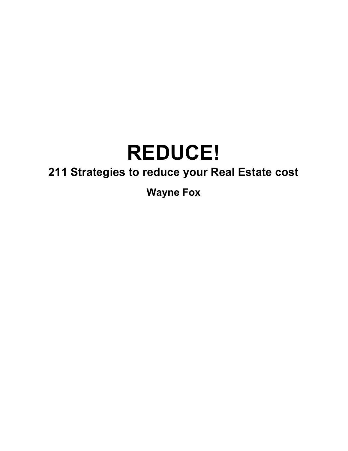# **REDUCE!**

# **211 Strategies to reduce your Real Estate cost**

**Wayne Fox**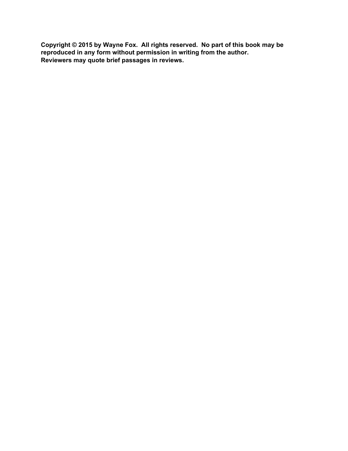**Copyright © 2015 by Wayne Fox. All rights reserved. No part of this book may be reproduced in any form without permission in writing from the author. Reviewers may quote brief passages in reviews.**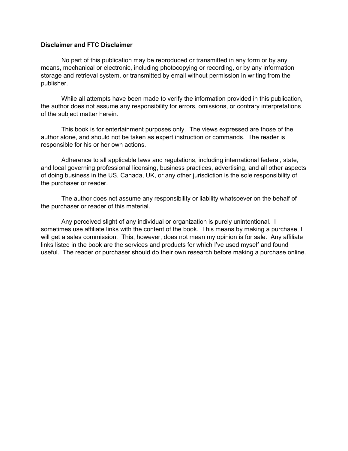# **Disclaimer and FTC Disclaimer**

No part of this publication may be reproduced or transmitted in any form or by any means, mechanical or electronic, including photocopying or recording, or by any information storage and retrieval system, or transmitted by email without permission in writing from the publisher.

While all attempts have been made to verify the information provided in this publication, the author does not assume any responsibility for errors, omissions, or contrary interpretations of the subject matter herein.

This book is for entertainment purposes only. The views expressed are those of the author alone, and should not be taken as expert instruction or commands. The reader is responsible for his or her own actions.

Adherence to all applicable laws and regulations, including international federal, state, and local governing professional licensing, business practices, advertising, and all other aspects of doing business in the US, Canada, UK, or any other jurisdiction is the sole responsibility of the purchaser or reader.

The author does not assume any responsibility or liability whatsoever on the behalf of the purchaser or reader of this material.

Any perceived slight of any individual or organization is purely unintentional. I sometimes use affiliate links with the content of the book. This means by making a purchase, I will get a sales commission. This, however, does not mean my opinion is for sale. Any affiliate links listed in the book are the services and products for which I've used myself and found useful. The reader or purchaser should do their own research before making a purchase online.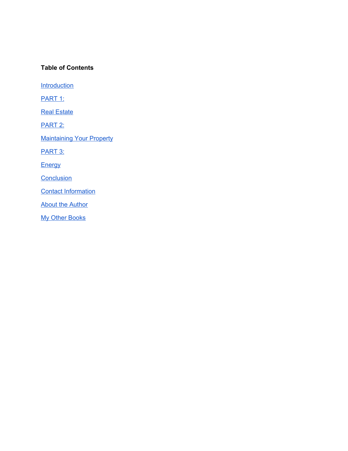# **Table of Contents**

**[Introduction](#page-4-0)** 

PART 1:

**Real [Estate](#page-5-0)** 

PART 2:

**[Maintaining](#page-15-0) Your Property** 

PART 3:

**[Energy](#page-20-0)** 

**[Conclusion](#page-39-0)** 

Contact [Information](#page-39-1)

**About the [Author](#page-40-0)** 

My Other [Books](#page-41-0)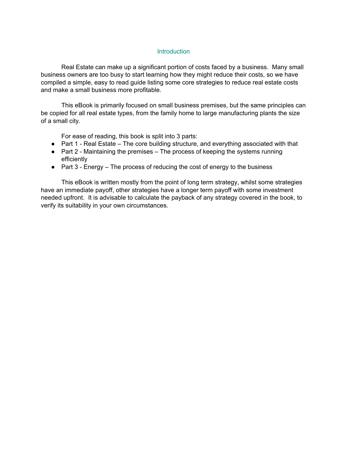#### **Introduction**

<span id="page-4-0"></span>Real Estate can make up a significant portion of costs faced by a business. Many small business owners are too busy to start learning how they might reduce their costs, so we have compiled a simple, easy to read guide listing some core strategies to reduce real estate costs and make a small business more profitable.

This eBook is primarily focused on small business premises, but the same principles can be copied for all real estate types, from the family home to large manufacturing plants the size of a small city.

For ease of reading, this book is split into 3 parts:

- Part 1 Real Estate The core building structure, and everything associated with that
- Part 2 Maintaining the premises The process of keeping the systems running efficiently
- $\bullet$  Part 3 Energy The process of reducing the cost of energy to the business

This eBook is written mostly from the point of long term strategy, whilst some strategies have an immediate payoff, other strategies have a longer term payoff with some investment needed upfront. It is advisable to calculate the payback of any strategy covered in the book, to verify its suitability in your own circumstances.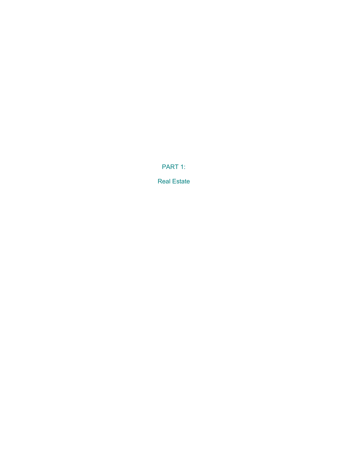PART 1:

<span id="page-5-0"></span>Real Estate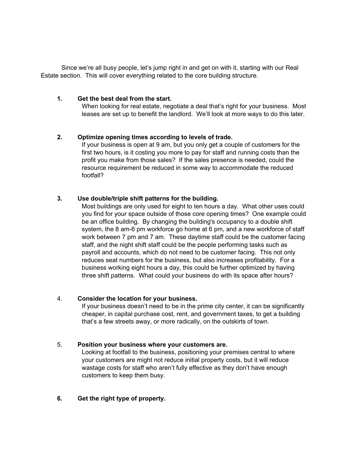Since we're all busy people, let's jump right in and get on with it, starting with our Real Estate section. This will cover everything related to the core building structure.

# **1. Get the best deal from the start.**

When looking for real estate, negotiate a deal that's right for your business. Most leases are set up to benefit the landlord. We'll look at more ways to do this later.

# **2. Optimize opening times according to levels of trade.**

If your business is open at 9 am, but you only get a couple of customers for the first two hours, is it costing you more to pay for staff and running costs than the profit you make from those sales? If the sales presence is needed, could the resource requirement be reduced in some way to accommodate the reduced footfall?

# **3. Use double/triple shift patterns for the building.**

Most buildings are only used for eight to ten hours a day. What other uses could you find for your space outside of those core opening times? One example could be an office building. By changing the building's occupancy to a double shift system, the 8 am-6 pm workforce go home at 6 pm, and a new workforce of staff work between 7 pm and 7 am. These daytime staff could be the customer facing staff, and the night shift staff could be the people performing tasks such as payroll and accounts, which do not need to be customer facing. This not only reduces seat numbers for the business, but also increases profitability. For a business working eight hours a day, this could be further optimized by having three shift patterns. What could your business do with its space after hours?

# 4. **Consider the location for your business.**

If your business doesn't need to be in the prime city center, it can be significantly cheaper, in capital purchase cost, rent, and government taxes, to get a building that's a few streets away, or more radically, on the outskirts of town.

# 5. **Position your business where your customers are.**

Looking at footfall to the business, positioning your premises central to where your customers are might not reduce initial property costs, but it will reduce wastage costs for staff who aren't fully effective as they don't have enough customers to keep them busy.

#### **6. Get the right type of property.**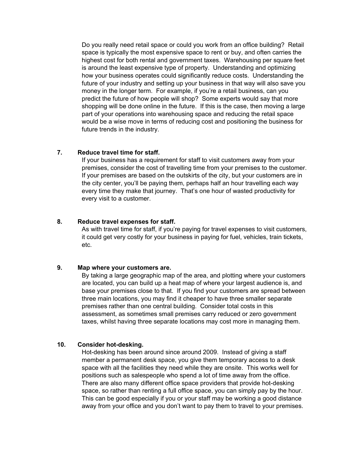Do you really need retail space or could you work from an office building? Retail space is typically the most expensive space to rent or buy, and often carries the highest cost for both rental and government taxes. Warehousing per square feet is around the least expensive type of property. Understanding and optimizing how your business operates could significantly reduce costs. Understanding the future of your industry and setting up your business in that way will also save you money in the longer term. For example, if you're a retail business, can you predict the future of how people will shop? Some experts would say that more shopping will be done online in the future. If this is the case, then moving a large part of your operations into warehousing space and reducing the retail space would be a wise move in terms of reducing cost and positioning the business for future trends in the industry.

# **7. Reduce travel time for staff.**

If your business has a requirement for staff to visit customers away from your premises, consider the cost of travelling time from your premises to the customer. If your premises are based on the outskirts of the city, but your customers are in the city center, you'll be paying them, perhaps half an hour travelling each way every time they make that journey. That's one hour of wasted productivity for every visit to a customer.

#### **8. Reduce travel expenses for staff.**

As with travel time for staff, if you're paying for travel expenses to visit customers, it could get very costly for your business in paying for fuel, vehicles, train tickets, etc.

#### **9. Map where your customers are.**

By taking a large geographic map of the area, and plotting where your customers are located, you can build up a heat map of where your largest audience is, and base your premises close to that. If you find your customers are spread between three main locations, you may find it cheaper to have three smaller separate premises rather than one central building. Consider total costs in this assessment, as sometimes small premises carry reduced or zero government taxes, whilst having three separate locations may cost more in managing them.

# **10. Consider hot-desking.**

Hot-desking has been around since around 2009. Instead of giving a staff member a permanent desk space, you give them temporary access to a desk space with all the facilities they need while they are onsite. This works well for positions such as salespeople who spend a lot of time away from the office. There are also many different office space providers that provide hot-desking space, so rather than renting a full office space, you can simply pay by the hour. This can be good especially if you or your staff may be working a good distance away from your office and you don't want to pay them to travel to your premises.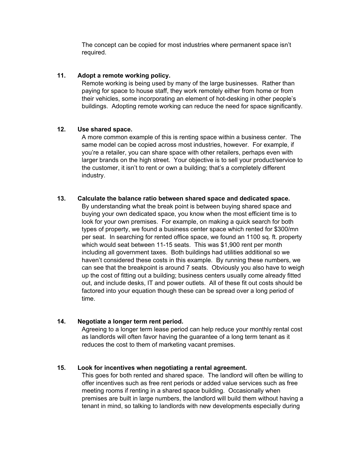The concept can be copied for most industries where permanent space isn't required.

# **11. Adopt a remote working policy.**

Remote working is being used by many of the large businesses. Rather than paying for space to house staff, they work remotely either from home or from their vehicles, some incorporating an element of hot-desking in other people's buildings. Adopting remote working can reduce the need for space significantly.

# **12. Use shared space.**

A more common example of this is renting space within a business center. The same model can be copied across most industries, however. For example, if you're a retailer, you can share space with other retailers, perhaps even with larger brands on the high street. Your objective is to sell your product/service to the customer, it isn't to rent or own a building; that's a completely different industry.

# **13. Calculate the balance ratio between shared space and dedicated space.**

By understanding what the break point is between buying shared space and buying your own dedicated space, you know when the most efficient time is to look for your own premises. For example, on making a quick search for both types of property, we found a business center space which rented for \$300/mn per seat. In searching for rented office space, we found an 1100 sq. ft. property which would seat between 11-15 seats. This was \$1,900 rent per month including all government taxes. Both buildings had utilities additional so we haven't considered these costs in this example. By running these numbers, we can see that the breakpoint is around 7 seats. Obviously you also have to weigh up the cost of fitting out a building; business centers usually come already fitted out, and include desks, IT and power outlets. All of these fit out costs should be factored into your equation though these can be spread over a long period of time.

# **14. Negotiate a longer term rent period.**

Agreeing to a longer term lease period can help reduce your monthly rental cost as landlords will often favor having the guarantee of a long term tenant as it reduces the cost to them of marketing vacant premises.

# **15. Look for incentives when negotiating a rental agreement.**

This goes for both rented and shared space. The landlord will often be willing to offer incentives such as free rent periods or added value services such as free meeting rooms if renting in a shared space building. Occasionally when premises are built in large numbers, the landlord will build them without having a tenant in mind, so talking to landlords with new developments especially during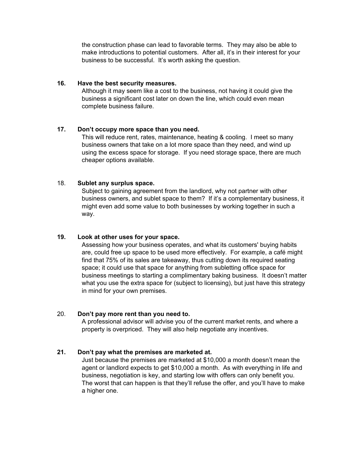the construction phase can lead to favorable terms. They may also be able to make introductions to potential customers. After all, it's in their interest for your business to be successful. It's worth asking the question.

#### **16. Have the best security measures.**

Although it may seem like a cost to the business, not having it could give the business a significant cost later on down the line, which could even mean complete business failure.

# **17. Don't occupy more space than you need.**

This will reduce rent, rates, maintenance, heating & cooling. I meet so many business owners that take on a lot more space than they need, and wind up using the excess space for storage. If you need storage space, there are much cheaper options available.

# 18. **Sublet any surplus space.**

Subject to gaining agreement from the landlord, why not partner with other business owners, and sublet space to them? If it's a complementary business, it might even add some value to both businesses by working together in such a way.

# **19. Look at other uses for your space.**

Assessing how your business operates, and what its customers' buying habits are, could free up space to be used more effectively. For example, a café might find that 75% of its sales are takeaway, thus cutting down its required seating space; it could use that space for anything from subletting office space for business meetings to starting a complimentary baking business. It doesn't matter what you use the extra space for (subject to licensing), but just have this strategy in mind for your own premises.

# 20. **Don't pay more rent than you need to.**

A professional advisor will advise you of the current market rents, and where a property is overpriced. They will also help negotiate any incentives.

# **21. Don't pay what the premises are marketed at.**

Just because the premises are marketed at \$10,000 a month doesn't mean the agent or landlord expects to get \$10,000 a month. As with everything in life and business, negotiation is key, and starting low with offers can only benefit you. The worst that can happen is that they'll refuse the offer, and you'll have to make a higher one.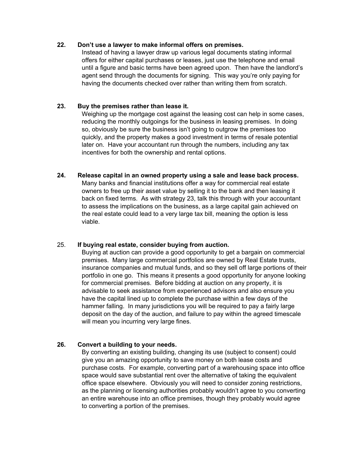# **22. Don't use a lawyer to make informal offers on premises.**

Instead of having a lawyer draw up various legal documents stating informal offers for either capital purchases or leases, just use the telephone and email until a figure and basic terms have been agreed upon. Then have the landlord's agent send through the documents for signing. This way you're only paying for having the documents checked over rather than writing them from scratch.

# **23. Buy the premises rather than lease it.**

Weighing up the mortgage cost against the leasing cost can help in some cases, reducing the monthly outgoings for the business in leasing premises. In doing so, obviously be sure the business isn't going to outgrow the premises too quickly, and the property makes a good investment in terms of resale potential later on. Have your accountant run through the numbers, including any tax incentives for both the ownership and rental options.

**24. Release capital in an owned property using a sale and lease back process.** Many banks and financial institutions offer a way for commercial real estate owners to free up their asset value by selling it to the bank and then leasing it back on fixed terms. As with strategy 23, talk this through with your accountant to assess the implications on the business, as a large capital gain achieved on the real estate could lead to a very large tax bill, meaning the option is less viable.

# 25. **If buying real estate, consider buying from auction.**

Buying at auction can provide a good opportunity to get a bargain on commercial premises. Many large commercial portfolios are owned by Real Estate trusts, insurance companies and mutual funds, and so they sell off large portions of their portfolio in one go. This means it presents a good opportunity for anyone looking for commercial premises. Before bidding at auction on any property, it is advisable to seek assistance from experienced advisors and also ensure you have the capital lined up to complete the purchase within a few days of the hammer falling. In many jurisdictions you will be required to pay a fairly large deposit on the day of the auction, and failure to pay within the agreed timescale will mean you incurring very large fines.

# **26. Convert a building to your needs.**

By converting an existing building, changing its use (subject to consent) could give you an amazing opportunity to save money on both lease costs and purchase costs. For example, converting part of a warehousing space into office space would save substantial rent over the alternative of taking the equivalent office space elsewhere. Obviously you will need to consider zoning restrictions, as the planning or licensing authorities probably wouldn't agree to you converting an entire warehouse into an office premises, though they probably would agree to converting a portion of the premises.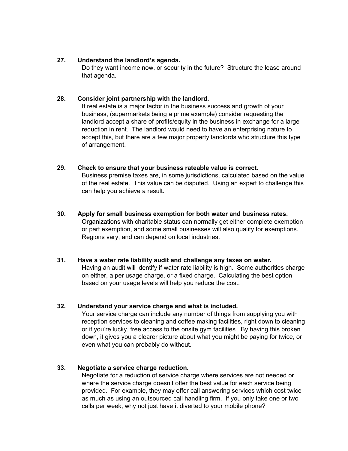# **27. Understand the landlord's agenda.**

Do they want income now, or security in the future? Structure the lease around that agenda.

# **28. Consider joint partnership with the landlord.**

If real estate is a major factor in the business success and growth of your business, (supermarkets being a prime example) consider requesting the landlord accept a share of profits/equity in the business in exchange for a large reduction in rent. The landlord would need to have an enterprising nature to accept this, but there are a few major property landlords who structure this type of arrangement.

#### **29. Check to ensure that your business rateable value is correct.**

Business premise taxes are, in some jurisdictions, calculated based on the value of the real estate. This value can be disputed. Using an expert to challenge this can help you achieve a result.

**30. Apply for small business exemption for both water and business rates.** Organizations with charitable status can normally get either complete exemption or part exemption, and some small businesses will also qualify for exemptions. Regions vary, and can depend on local industries.

# **31. Have a water rate liability audit and challenge any taxes on water.**

Having an audit will identify if water rate liability is high. Some authorities charge on either, a per usage charge, or a fixed charge. Calculating the best option based on your usage levels will help you reduce the cost.

# **32. Understand your service charge and what is included.**

Your service charge can include any number of things from supplying you with reception services to cleaning and coffee making facilities, right down to cleaning or if you're lucky, free access to the onsite gym facilities. By having this broken down, it gives you a clearer picture about what you might be paying for twice, or even what you can probably do without.

# **33. Negotiate a service charge reduction.**

Negotiate for a reduction of service charge where services are not needed or where the service charge doesn't offer the best value for each service being provided. For example, they may offer call answering services which cost twice as much as using an outsourced call handling firm. If you only take one or two calls per week, why not just have it diverted to your mobile phone?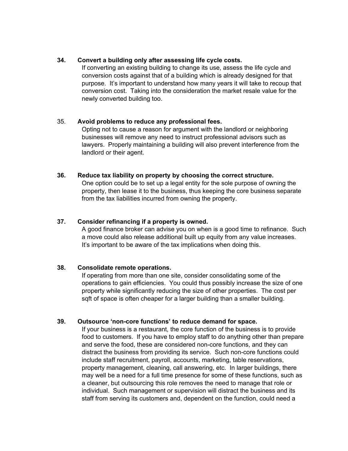# **34. Convert a building only after assessing life cycle costs.**

If converting an existing building to change its use, assess the life cycle and conversion costs against that of a building which is already designed for that purpose. It's important to understand how many years it will take to recoup that conversion cost. Taking into the consideration the market resale value for the newly converted building too.

# 35. **Avoid problems to reduce any professional fees.**

Opting not to cause a reason for argument with the landlord or neighboring businesses will remove any need to instruct professional advisors such as lawyers. Properly maintaining a building will also prevent interference from the landlord or their agent.

#### **36. Reduce tax liability on property by choosing the correct structure.**

One option could be to set up a legal entity for the sole purpose of owning the property, then lease it to the business, thus keeping the core business separate from the tax liabilities incurred from owning the property.

# **37. Consider refinancing if a property is owned.**

A good finance broker can advise you on when is a good time to refinance. Such a move could also release additional built up equity from any value increases. It's important to be aware of the tax implications when doing this.

# **38. Consolidate remote operations.**

If operating from more than one site, consider consolidating some of the operations to gain efficiencies. You could thus possibly increase the size of one property while significantly reducing the size of other properties. The cost per sqft of space is often cheaper for a larger building than a smaller building.

# **39. Outsource 'non-core functions' to reduce demand for space.**

If your business is a restaurant, the core function of the business is to provide food to customers. If you have to employ staff to do anything other than prepare and serve the food, these are considered non-core functions, and they can distract the business from providing its service. Such non-core functions could include staff recruitment, payroll, accounts, marketing, table reservations, property management, cleaning, call answering, etc. In larger buildings, there may well be a need for a full time presence for some of these functions, such as a cleaner, but outsourcing this role removes the need to manage that role or individual. Such management or supervision will distract the business and its staff from serving its customers and, dependent on the function, could need a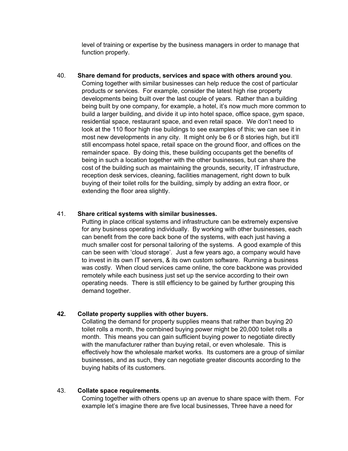level of training or expertise by the business managers in order to manage that function properly.

40. **Share demand for products, services and space with others around you**. Coming together with similar businesses can help reduce the cost of particular products or services. For example, consider the latest high rise property developments being built over the last couple of years. Rather than a building being built by one company, for example, a hotel, it's now much more common to build a larger building, and divide it up into hotel space, office space, gym space, residential space, restaurant space, and even retail space. We don't need to look at the 110 floor high rise buildings to see examples of this; we can see it in most new developments in any city. It might only be 6 or 8 stories high, but it'll still encompass hotel space, retail space on the ground floor, and offices on the remainder space. By doing this, these building occupants get the benefits of being in such a location together with the other businesses, but can share the cost of the building such as maintaining the grounds, security, IT infrastructure, reception desk services, cleaning, facilities management, right down to bulk buying of their toilet rolls for the building, simply by adding an extra floor, or extending the floor area slightly.

# 41. **Share critical systems with similar businesses.**

Putting in place critical systems and infrastructure can be extremely expensive for any business operating individually. By working with other businesses, each can benefit from the core back bone of the systems, with each just having a much smaller cost for personal tailoring of the systems. A good example of this can be seen with 'cloud storage'. Just a few years ago, a company would have to invest in its own IT servers, & its own custom software. Running a business was costly. When cloud services came online, the core backbone was provided remotely while each business just set up the service according to their own operating needs. There is still efficiency to be gained by further grouping this demand together.

# **42. Collate property supplies with other buyers.**

Collating the demand for property supplies means that rather than buying 20 toilet rolls a month, the combined buying power might be 20,000 toilet rolls a month. This means you can gain sufficient buying power to negotiate directly with the manufacturer rather than buying retail, or even wholesale. This is effectively how the wholesale market works. Its customers are a group of similar businesses, and as such, they can negotiate greater discounts according to the buying habits of its customers.

#### 43. **Collate space requirements**.

Coming together with others opens up an avenue to share space with them. For example let's imagine there are five local businesses, Three have a need for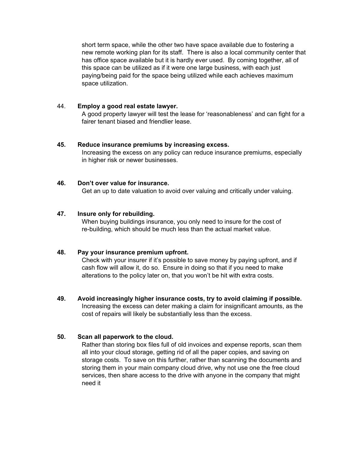short term space, while the other two have space available due to fostering a new remote working plan for its staff. There is also a local community center that has office space available but it is hardly ever used. By coming together, all of this space can be utilized as if it were one large business, with each just paying/being paid for the space being utilized while each achieves maximum space utilization.

# 44. **Employ a good real estate lawyer.**

A good property lawyer will test the lease for 'reasonableness' and can fight for a fairer tenant biased and friendlier lease.

#### **45. Reduce insurance premiums by increasing excess.**

Increasing the excess on any policy can reduce insurance premiums, especially in higher risk or newer businesses.

# **46. Don't over value for insurance.**

Get an up to date valuation to avoid over valuing and critically under valuing.

# **47. Insure only for rebuilding.**

When buying buildings insurance, you only need to insure for the cost of re-building, which should be much less than the actual market value.

# **48. Pay your insurance premium upfront.**

Check with your insurer if it's possible to save money by paying upfront, and if cash flow will allow it, do so. Ensure in doing so that if you need to make alterations to the policy later on, that you won't be hit with extra costs.

**49. Avoid increasingly higher insurance costs, try to avoid claiming if possible.** Increasing the excess can deter making a claim for insignificant amounts, as the cost of repairs will likely be substantially less than the excess.

# **50. Scan all paperwork to the cloud.**

Rather than storing box files full of old invoices and expense reports, scan them all into your cloud storage, getting rid of all the paper copies, and saving on storage costs. To save on this further, rather than scanning the documents and storing them in your main company cloud drive, why not use one the free cloud services, then share access to the drive with anyone in the company that might need it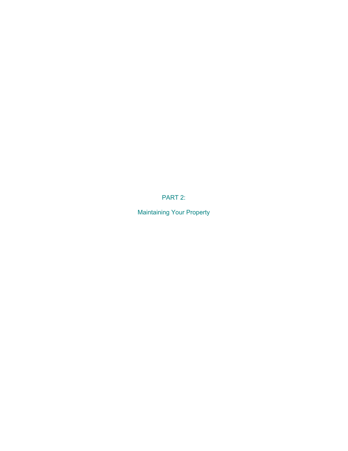PART 2:

<span id="page-15-0"></span>Maintaining Your Property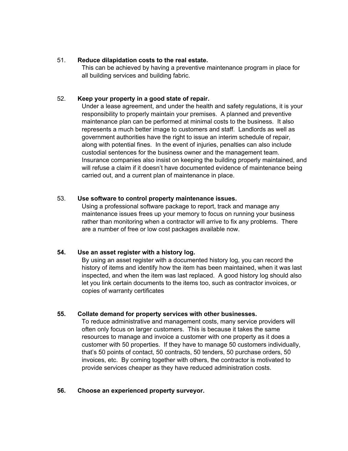# 51. **Reduce dilapidation costs to the real estate.**

This can be achieved by having a preventive maintenance program in place for all building services and building fabric.

# 52. **Keep your property in a good state of repair.**

Under a lease agreement, and under the health and safety regulations, it is your responsibility to properly maintain your premises. A planned and preventive maintenance plan can be performed at minimal costs to the business. It also represents a much better image to customers and staff. Landlords as well as government authorities have the right to issue an interim schedule of repair, along with potential fines. In the event of injuries, penalties can also include custodial sentences for the business owner and the management team. Insurance companies also insist on keeping the building properly maintained, and will refuse a claim if it doesn't have documented evidence of maintenance being carried out, and a current plan of maintenance in place.

# 53. **Use software to control property maintenance issues.**

Using a professional software package to report, track and manage any maintenance issues frees up your memory to focus on running your business rather than monitoring when a contractor will arrive to fix any problems. There are a number of free or low cost packages available now.

# **54. Use an asset register with a history log.**

By using an asset register with a documented history log, you can record the history of items and identify how the item has been maintained, when it was last inspected, and when the item was last replaced. A good history log should also let you link certain documents to the items too, such as contractor invoices, or copies of warranty certificates

# **55. Collate demand for property services with other businesses.**

To reduce administrative and management costs, many service providers will often only focus on larger customers. This is because it takes the same resources to manage and invoice a customer with one property as it does a customer with 50 properties. If they have to manage 50 customers individually, that's 50 points of contact, 50 contracts, 50 tenders, 50 purchase orders, 50 invoices, etc. By coming together with others, the contractor is motivated to provide services cheaper as they have reduced administration costs.

# **56. Choose an experienced property surveyor.**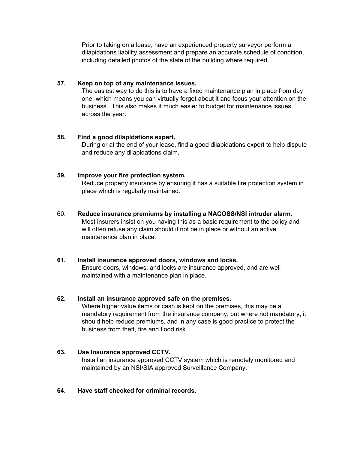Prior to taking on a lease, have an experienced property surveyor perform a dilapidations liability assessment and prepare an accurate schedule of condition, including detailed photos of the state of the building where required.

# **57. Keep on top of any maintenance issues.**

The easiest way to do this is to have a fixed maintenance plan in place from day one, which means you can virtually forget about it and focus your attention on the business. This also makes it much easier to budget for maintenance issues across the year.

# **58. Find a good dilapidations expert.**

During or at the end of your lease, find a good dilapidations expert to help dispute and reduce any dilapidations claim.

# **59. Improve your fire protection system.**

Reduce property insurance by ensuring it has a suitable fire protection system in place which is regularly maintained.

# 60. **Reduce insurance premiums by installing a NACOSS/NSI intruder alarm.**

Most insurers insist on you having this as a basic requirement to the policy and will often refuse any claim should it not be in place or without an active maintenance plan in place.

# **61. Install insurance approved doors, windows and locks.**

Ensure doors, windows, and locks are insurance approved, and are well maintained with a maintenance plan in place.

# **62. Install an insurance approved safe on the premises.**

Where higher value items or cash is kept on the premises, this may be a mandatory requirement from the insurance company, but where not mandatory, it should help reduce premiums, and in any case is good practice to protect the business from theft, fire and flood risk.

# **63. Use Insurance approved CCTV.**

Install an insurance approved CCTV system which is remotely monitored and maintained by an NSI/SIA approved Surveillance Company.

# **64. Have staff checked for criminal records.**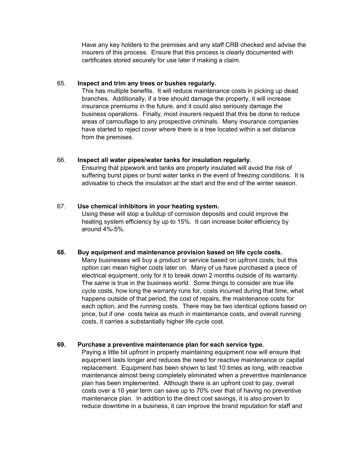Have any key holders to the premises and any staff CRB checked and advise the insurers of this process. Ensure that this process is clearly documented with certificates stored securely for use later if making a claim.

#### 65. **Inspect and trim any trees or bushes regularly.**

This has multiple benefits. It will reduce maintenance costs in picking up dead branches. Additionally, if a tree should damage the property, it will increase insurance premiums in the future, and it could also seriously damage the business operations. Finally, most insurers request that this be done to reduce areas of camouflage to any prospective criminals. Many insurance companies have started to reject cover where there is a tree located within a set distance from the premises.

#### 66. **Inspect all water pipes/water tanks for insulation regularly.**

Ensuring that pipework and tanks are properly insulated will avoid the risk of suffering burst pipes or burst water tanks in the event of freezing conditions. It is advisable to check the insulation at the start and the end of the winter season.

#### 67. **Use chemical inhibitors in your heating system.**

Using these will stop a buildup of corrosion deposits and could improve the heating system efficiency by up to 15%. It can increase boiler efficiency by around 4%-5%.

#### **68. Buy equipment and maintenance provision based on life cycle costs.**

Many businesses will buy a product or service based on upfront costs, but this option can mean higher costs later on. Many of us have purchased a piece of electrical equipment, only for it to break down 2 months outside of its warranty. The same is true in the business world. Some things to consider are true life cycle costs, how long the warranty runs for, costs incurred during that time, what happens outside of that period, the cost of repairs, the maintenance costs for each option, and the running costs. There may be two identical options based on price, but if one costs twice as much in maintenance costs, and overall running costs, it carries a substantially higher life cycle cost.

# **69. Purchase a preventive maintenance plan for each service type.**

Paying a little bit upfront in properly maintaining equipment now will ensure that equipment lasts longer and reduces the need for reactive maintenance or capital replacement. Equipment has been shown to last 10 times as long, with reactive maintenance almost being completely eliminated when a preventive maintenance plan has been implemented. Although there is an upfront cost to pay, overall costs over a 10 year term can save up to 70% over that of having no preventive maintenance plan. In addition to the direct cost savings, it is also proven to reduce downtime in a business, it can improve the brand reputation for staff and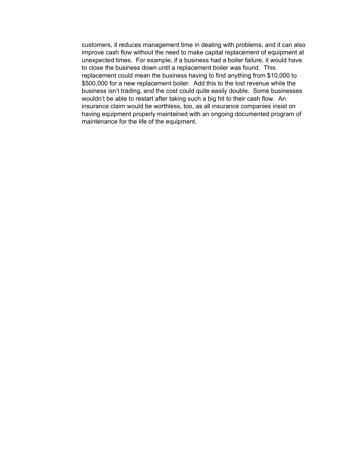customers, it reduces management time in dealing with problems, and it can also improve cash flow without the need to make capital replacement of equipment at unexpected times. For example, if a business had a boiler failure, it would have to close the business down until a replacement boiler was found. This replacement could mean the business having to find anything from \$10,000 to \$500,000 for a new replacement boiler. Add this to the lost revenue while the business isn't trading, and the cost could quite easily double. Some businesses wouldn't be able to restart after taking such a big hit to their cash flow. An insurance claim would be worthless, too, as all insurance companies insist on having equipment properly maintained with an ongoing documented program of maintenance for the life of the equipment.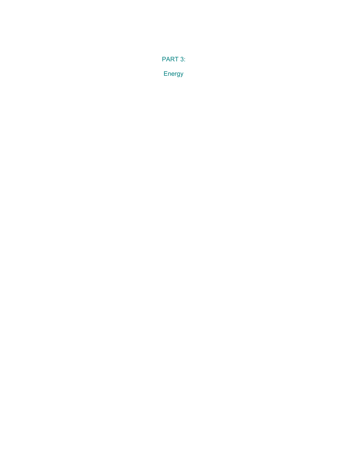<span id="page-20-0"></span>PART 3:

Energy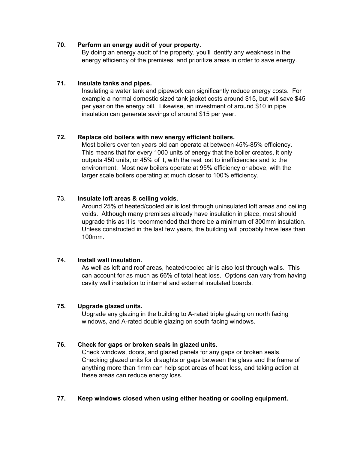# **70. Perform an energy audit of your property.**

By doing an energy audit of the property, you'll identify any weakness in the energy efficiency of the premises, and prioritize areas in order to save energy.

# **71. Insulate tanks and pipes.**

Insulating a water tank and pipework can significantly reduce energy costs. For example a normal domestic sized tank jacket costs around \$15, but will save \$45 per year on the energy bill. Likewise, an investment of around \$10 in pipe insulation can generate savings of around \$15 per year.

# **72. Replace old boilers with new energy efficient boilers.**

Most boilers over ten years old can operate at between 45%-85% efficiency. This means that for every 1000 units of energy that the boiler creates, it only outputs 450 units, or 45% of it, with the rest lost to inefficiencies and to the environment. Most new boilers operate at 95% efficiency or above, with the larger scale boilers operating at much closer to 100% efficiency.

# 73. **Insulate loft areas & ceiling voids.**

Around 25% of heated/cooled air is lost through uninsulated loft areas and ceiling voids. Although many premises already have insulation in place, most should upgrade this as it is recommended that there be a minimum of 300mm insulation. Unless constructed in the last few years, the building will probably have less than 100mm.

# **74. Install wall insulation.**

As well as loft and roof areas, heated/cooled air is also lost through walls. This can account for as much as 66% of total heat loss. Options can vary from having cavity wall insulation to internal and external insulated boards.

# **75. Upgrade glazed units.**

Upgrade any glazing in the building to A-rated triple glazing on north facing windows, and A-rated double glazing on south facing windows.

# **76. Check for gaps or broken seals in glazed units.**

Check windows, doors, and glazed panels for any gaps or broken seals. Checking glazed units for draughts or gaps between the glass and the frame of anything more than 1mm can help spot areas of heat loss, and taking action at these areas can reduce energy loss.

# **77. Keep windows closed when using either heating or cooling equipment.**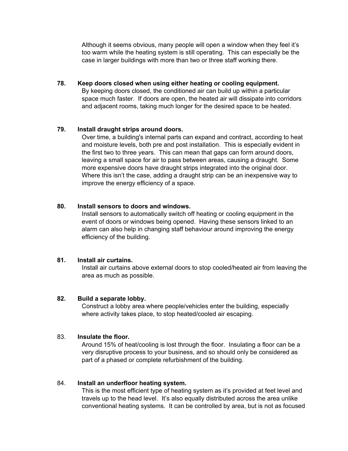Although it seems obvious, many people will open a window when they feel it's too warm while the heating system is still operating. This can especially be the case in larger buildings with more than two or three staff working there.

# **78. Keep doors closed when using either heating or cooling equipment.** By keeping doors closed, the conditioned air can build up within a particular space much faster. If doors are open, the heated air will dissipate into corridors and adjacent rooms, taking much longer for the desired space to be heated.

# **79. Install draught strips around doors.**

Over time, a building's internal parts can expand and contract, according to heat and moisture levels, both pre and post installation. This is especially evident in the first two to three years. This can mean that gaps can form around doors, leaving a small space for air to pass between areas, causing a draught. Some more expensive doors have draught strips integrated into the original door. Where this isn't the case, adding a draught strip can be an inexpensive way to improve the energy efficiency of a space.

#### **80. Install sensors to doors and windows.**

Install sensors to automatically switch off heating or cooling equipment in the event of doors or windows being opened. Having these sensors linked to an alarm can also help in changing staff behaviour around improving the energy efficiency of the building.

# **81. Install air curtains.**

Install air curtains above external doors to stop cooled/heated air from leaving the area as much as possible.

#### **82. Build a separate lobby.**

Construct a lobby area where people/vehicles enter the building, especially where activity takes place, to stop heated/cooled air escaping.

#### 83. **Insulate the floor.**

Around 15% of heat/cooling is lost through the floor. Insulating a floor can be a very disruptive process to your business, and so should only be considered as part of a phased or complete refurbishment of the building.

#### 84. **Install an underfloor heating system.**

This is the most efficient type of heating system as it's provided at feet level and travels up to the head level. It's also equally distributed across the area unlike conventional heating systems. It can be controlled by area, but is not as focused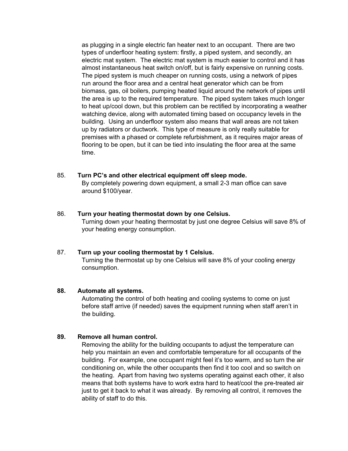as plugging in a single electric fan heater next to an occupant. There are two types of underfloor heating system: firstly, a piped system, and secondly, an electric mat system. The electric mat system is much easier to control and it has almost instantaneous heat switch on/off, but is fairly expensive on running costs. The piped system is much cheaper on running costs, using a network of pipes run around the floor area and a central heat generator which can be from biomass, gas, oil boilers, pumping heated liquid around the network of pipes until the area is up to the required temperature. The piped system takes much longer to heat up/cool down, but this problem can be rectified by incorporating a weather watching device, along with automated timing based on occupancy levels in the building. Using an underfloor system also means that wall areas are not taken up by radiators or ductwork. This type of measure is only really suitable for premises with a phased or complete refurbishment, as it requires major areas of flooring to be open, but it can be tied into insulating the floor area at the same time.

#### 85. **Turn PC's and other electrical equipment off sleep mode.**

By completely powering down equipment, a small 2-3 man office can save around \$100/year.

#### 86. **Turn your heating thermostat down by one Celsius.**

Turning down your heating thermostat by just one degree Celsius will save 8% of your heating energy consumption.

#### 87. **Turn up your cooling thermostat by 1 Celsius.**

Turning the thermostat up by one Celsius will save 8% of your cooling energy consumption.

#### **88. Automate all systems.**

Automating the control of both heating and cooling systems to come on just before staff arrive (if needed) saves the equipment running when staff aren't in the building.

#### **89. Remove all human control.**

Removing the ability for the building occupants to adjust the temperature can help you maintain an even and comfortable temperature for all occupants of the building. For example, one occupant might feel it's too warm, and so turn the air conditioning on, while the other occupants then find it too cool and so switch on the heating. Apart from having two systems operating against each other, it also means that both systems have to work extra hard to heat/cool the pre-treated air just to get it back to what it was already. By removing all control, it removes the ability of staff to do this.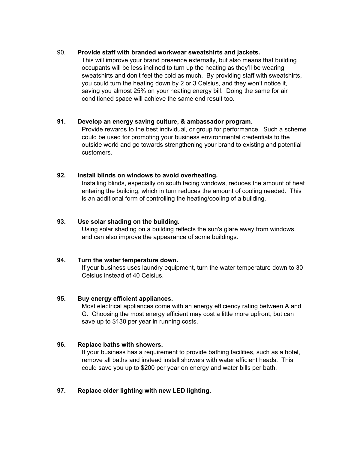# 90. **Provide staff with branded workwear sweatshirts and jackets.**

This will improve your brand presence externally, but also means that building occupants will be less inclined to turn up the heating as they'll be wearing sweatshirts and don't feel the cold as much. By providing staff with sweatshirts, you could turn the heating down by 2 or 3 Celsius, and they won't notice it, saving you almost 25% on your heating energy bill. Doing the same for air conditioned space will achieve the same end result too.

# **91. Develop an energy saving culture, & ambassador program.**

Provide rewards to the best individual, or group for performance. Such a scheme could be used for promoting your business environmental credentials to the outside world and go towards strengthening your brand to existing and potential customers.

# **92. Install blinds on windows to avoid overheating.**

Installing blinds, especially on south facing windows, reduces the amount of heat entering the building, which in turn reduces the amount of cooling needed. This is an additional form of controlling the heating/cooling of a building.

#### **93. Use solar shading on the building.**

Using solar shading on a building reflects the sun's glare away from windows, and can also improve the appearance of some buildings.

# **94. Turn the water temperature down.**

If your business uses laundry equipment, turn the water temperature down to 30 Celsius instead of 40 Celsius.

# **95. Buy energy efficient appliances.**

Most electrical appliances come with an energy efficiency rating between A and G. Choosing the most energy efficient may cost a little more upfront, but can save up to \$130 per year in running costs.

# **96. Replace baths with showers.**

If your business has a requirement to provide bathing facilities, such as a hotel, remove all baths and instead install showers with water efficient heads. This could save you up to \$200 per year on energy and water bills per bath.

# **97. Replace older lighting with new LED lighting.**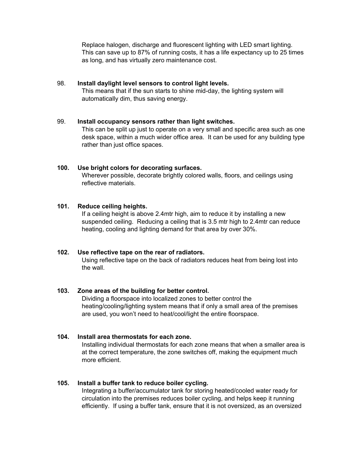Replace halogen, discharge and fluorescent lighting with LED smart lighting. This can save up to 87% of running costs, it has a life expectancy up to 25 times as long, and has virtually zero maintenance cost.

#### 98. **Install daylight level sensors to control light levels.** This means that if the sun starts to shine mid-day, the lighting system will automatically dim, thus saving energy.

#### 99. **Install occupancy sensors rather than light switches.**

This can be split up just to operate on a very small and specific area such as one desk space, within a much wider office area. It can be used for any building type rather than just office spaces.

# **100. Use bright colors for decorating surfaces.**

Wherever possible, decorate brightly colored walls, floors, and ceilings using reflective materials.

#### **101. Reduce ceiling heights.**

If a ceiling height is above 2.4mtr high, aim to reduce it by installing a new suspended ceiling. Reducing a ceiling that is 3.5 mtr high to 2.4mtr can reduce heating, cooling and lighting demand for that area by over 30%.

# **102. Use reflective tape on the rear of radiators.**

Using reflective tape on the back of radiators reduces heat from being lost into the wall.

# **103. Zone areas of the building for better control.**

Dividing a floorspace into localized zones to better control the heating/cooling/lighting system means that if only a small area of the premises are used, you won't need to heat/cool/light the entire floorspace.

# **104. Install area thermostats for each zone.**

Installing individual thermostats for each zone means that when a smaller area is at the correct temperature, the zone switches off, making the equipment much more efficient.

# **105. Install a buffer tank to reduce boiler cycling.**

Integrating a buffer/accumulator tank for storing heated/cooled water ready for circulation into the premises reduces boiler cycling, and helps keep it running efficiently. If using a buffer tank, ensure that it is not oversized, as an oversized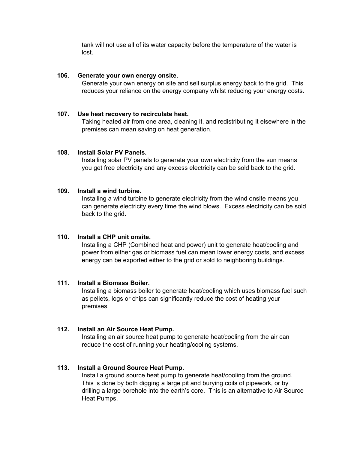tank will not use all of its water capacity before the temperature of the water is lost.

#### **106. Generate your own energy onsite.**

Generate your own energy on site and sell surplus energy back to the grid. This reduces your reliance on the energy company whilst reducing your energy costs.

#### **107. Use heat recovery to recirculate heat.**

Taking heated air from one area, cleaning it, and redistributing it elsewhere in the premises can mean saving on heat generation.

#### **108. Install Solar PV Panels.**

Installing solar PV panels to generate your own electricity from the sun means you get free electricity and any excess electricity can be sold back to the grid.

#### **109. Install a wind turbine.**

Installing a wind turbine to generate electricity from the wind onsite means you can generate electricity every time the wind blows. Excess electricity can be sold back to the grid.

#### **110. Install a CHP unit onsite.**

Installing a CHP (Combined heat and power) unit to generate heat/cooling and power from either gas or biomass fuel can mean lower energy costs, and excess energy can be exported either to the grid or sold to neighboring buildings.

#### **111. Install a Biomass Boiler.**

Installing a biomass boiler to generate heat/cooling which uses biomass fuel such as pellets, logs or chips can significantly reduce the cost of heating your premises.

#### **112. Install an Air Source Heat Pump.**

Installing an air source heat pump to generate heat/cooling from the air can reduce the cost of running your heating/cooling systems.

# **113. Install a Ground Source Heat Pump.**

Install a ground source heat pump to generate heat/cooling from the ground. This is done by both digging a large pit and burying coils of pipework, or by drilling a large borehole into the earth's core. This is an alternative to Air Source Heat Pumps.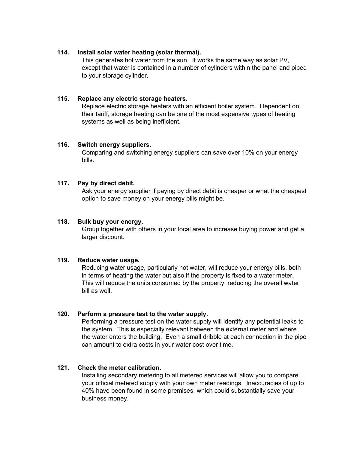# **114. Install solar water heating (solar thermal).**

This generates hot water from the sun. It works the same way as solar PV, except that water is contained in a number of cylinders within the panel and piped to your storage cylinder.

# **115. Replace any electric storage heaters.**

Replace electric storage heaters with an efficient boiler system. Dependent on their tariff, storage heating can be one of the most expensive types of heating systems as well as being inefficient.

#### **116. Switch energy suppliers.**

Comparing and switching energy suppliers can save over 10% on your energy bills.

#### **117. Pay by direct debit.**

Ask your energy supplier if paying by direct debit is cheaper or what the cheapest option to save money on your energy bills might be.

#### **118. Bulk buy your energy.**

Group together with others in your local area to increase buying power and get a larger discount.

#### **119. Reduce water usage.**

Reducing water usage, particularly hot water, will reduce your energy bills, both in terms of heating the water but also if the property is fixed to a water meter. This will reduce the units consumed by the property, reducing the overall water bill as well.

# **120. Perform a pressure test to the water supply.**

Performing a pressure test on the water supply will identify any potential leaks to the system. This is especially relevant between the external meter and where the water enters the building. Even a small dribble at each connection in the pipe can amount to extra costs in your water cost over time.

#### **121. Check the meter calibration.**

Installing secondary metering to all metered services will allow you to compare your official metered supply with your own meter readings. Inaccuracies of up to 40% have been found in some premises, which could substantially save your business money.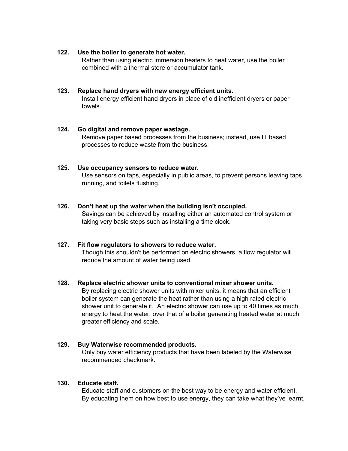#### **122. Use the boiler to generate hot water.**

Rather than using electric immersion heaters to heat water, use the boiler combined with a thermal store or accumulator tank.

# **123. Replace hand dryers with new energy efficient units.**

Install energy efficient hand dryers in place of old inefficient dryers or paper towels.

# **124. Go digital and remove paper wastage.**

Remove paper based processes from the business; instead, use IT based processes to reduce waste from the business.

# **125. Use occupancy sensors to reduce water.**

Use sensors on taps, especially in public areas, to prevent persons leaving taps running, and toilets flushing.

# **126. Don't heat up the water when the building isn't occupied.**

Savings can be achieved by installing either an automated control system or taking very basic steps such as installing a time clock.

# **127. Fit flow regulators to showers to reduce water.**

Though this shouldn't be performed on electric showers, a flow regulator will reduce the amount of water being used.

#### **128. Replace electric shower units to conventional mixer shower units.**

By replacing electric shower units with mixer units, it means that an efficient boiler system can generate the heat rather than using a high rated electric shower unit to generate it. An electric shower can use up to 40 times as much energy to heat the water, over that of a boiler generating heated water at much greater efficiency and scale.

# **129. Buy Waterwise recommended products.**

Only buy water efficiency products that have been labeled by the Waterwise recommended checkmark.

# **130. Educate staff.**

Educate staff and customers on the best way to be energy and water efficient. By educating them on how best to use energy, they can take what they've learnt,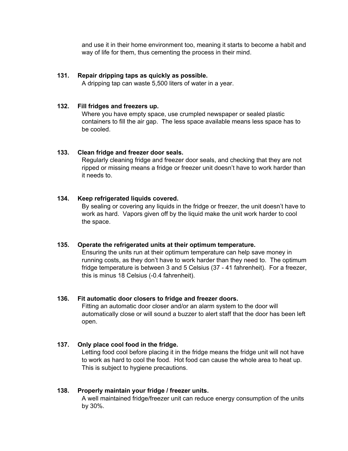and use it in their home environment too, meaning it starts to become a habit and way of life for them, thus cementing the process in their mind.

# **131. Repair dripping taps as quickly as possible.**

A dripping tap can waste 5,500 liters of water in a year.

#### **132. Fill fridges and freezers up.**

Where you have empty space, use crumpled newspaper or sealed plastic containers to fill the air gap. The less space available means less space has to be cooled.

#### **133. Clean fridge and freezer door seals.**

Regularly cleaning fridge and freezer door seals, and checking that they are not ripped or missing means a fridge or freezer unit doesn't have to work harder than it needs to.

#### **134. Keep refrigerated liquids covered.**

By sealing or covering any liquids in the fridge or freezer, the unit doesn't have to work as hard. Vapors given off by the liquid make the unit work harder to cool the space.

#### **135. Operate the refrigerated units at their optimum temperature.**

Ensuring the units run at their optimum temperature can help save money in running costs, as they don't have to work harder than they need to. The optimum fridge temperature is between 3 and 5 Celsius (37 - 41 fahrenheit). For a freezer, this is minus 18 Celsius (-0.4 fahrenheit).

# **136. Fit automatic door closers to fridge and freezer doors.**

Fitting an automatic door closer and/or an alarm system to the door will automatically close or will sound a buzzer to alert staff that the door has been left open.

# **137. Only place cool food in the fridge.**

Letting food cool before placing it in the fridge means the fridge unit will not have to work as hard to cool the food. Hot food can cause the whole area to heat up. This is subject to hygiene precautions.

#### **138. Properly maintain your fridge / freezer units.**

A well maintained fridge/freezer unit can reduce energy consumption of the units by 30%.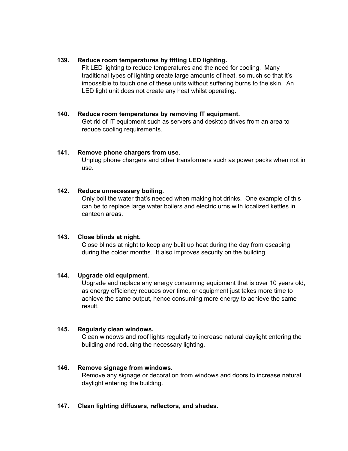# **139. Reduce room temperatures by fitting LED lighting.**

Fit LED lighting to reduce temperatures and the need for cooling. Many traditional types of lighting create large amounts of heat, so much so that it's impossible to touch one of these units without suffering burns to the skin. An LED light unit does not create any heat whilst operating.

#### **140. Reduce room temperatures by removing IT equipment.**

Get rid of IT equipment such as servers and desktop drives from an area to reduce cooling requirements.

#### **141. Remove phone chargers from use.**

Unplug phone chargers and other transformers such as power packs when not in use.

#### **142. Reduce unnecessary boiling.**

Only boil the water that's needed when making hot drinks. One example of this can be to replace large water boilers and electric urns with localized kettles in canteen areas.

#### **143. Close blinds at night.**

Close blinds at night to keep any built up heat during the day from escaping during the colder months. It also improves security on the building.

# **144. Upgrade old equipment.**

Upgrade and replace any energy consuming equipment that is over 10 years old, as energy efficiency reduces over time, or equipment just takes more time to achieve the same output, hence consuming more energy to achieve the same result.

# **145. Regularly clean windows.**

Clean windows and roof lights regularly to increase natural daylight entering the building and reducing the necessary lighting.

# **146. Remove signage from windows.**

Remove any signage or decoration from windows and doors to increase natural daylight entering the building.

#### **147. Clean lighting diffusers, reflectors, and shades.**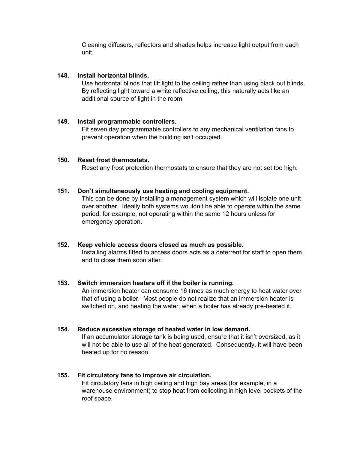Cleaning diffusers, reflectors and shades helps increase light output from each unit.

# **148. Install horizontal blinds.**

Use horizontal blinds that tilt light to the ceiling rather than using black out blinds. By reflecting light toward a white reflective ceiling, this naturally acts like an additional source of light in the room.

# **149. Install programmable controllers.**

Fit seven day programmable controllers to any mechanical ventilation fans to prevent operation when the building isn't occupied.

# **150. Reset frost thermostats.**

Reset any frost protection thermostats to ensure that they are not set too high.

#### **151. Don't simultaneously use heating and cooling equipment.**

This can be done by installing a management system which will isolate one unit over another. Ideally both systems wouldn't be able to operate within the same period, for example, not operating within the same 12 hours unless for emergency operation.

#### **152. Keep vehicle access doors closed as much as possible.**

Installing alarms fitted to access doors acts as a deterrent for staff to open them, and to close them soon after.

# **153. Switch immersion heaters off if the boiler is running.**

An immersion heater can consume 16 times as much energy to heat water over that of using a boiler. Most people do not realize that an immersion heater is switched on, and heating the water, when a boiler has already pre-heated it.

# **154. Reduce excessive storage of heated water in low demand.**

If an accumulator storage tank is being used, ensure that it isn't oversized, as it will not be able to use all of the heat generated. Consequently, it will have been heated up for no reason.

# **155. Fit circulatory fans to improve air circulation.**

Fit circulatory fans in high ceiling and high bay areas (for example, in a warehouse environment) to stop heat from collecting in high level pockets of the roof space.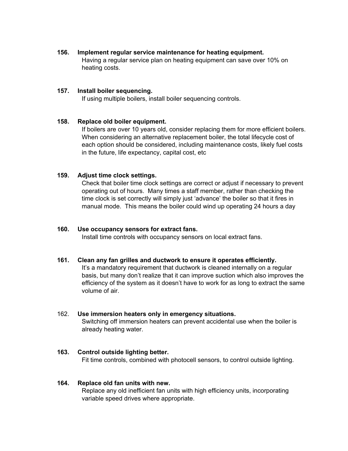# **156. Implement regular service maintenance for heating equipment.**

Having a regular service plan on heating equipment can save over 10% on heating costs.

#### **157. Install boiler sequencing.**

If using multiple boilers, install boiler sequencing controls.

#### **158. Replace old boiler equipment.**

If boilers are over 10 years old, consider replacing them for more efficient boilers. When considering an alternative replacement boiler, the total lifecycle cost of each option should be considered, including maintenance costs, likely fuel costs in the future, life expectancy, capital cost, etc

# **159. Adjust time clock settings.**

Check that boiler time clock settings are correct or adjust if necessary to prevent operating out of hours. Many times a staff member, rather than checking the time clock is set correctly will simply just 'advance' the boiler so that it fires in manual mode. This means the boiler could wind up operating 24 hours a day

# **160. Use occupancy sensors for extract fans.**

Install time controls with occupancy sensors on local extract fans.

# **161. Clean any fan grilles and ductwork to ensure it operates efficiently.**

It's a mandatory requirement that ductwork is cleaned internally on a regular basis, but many don't realize that it can improve suction which also improves the efficiency of the system as it doesn't have to work for as long to extract the same volume of air.

#### 162. **Use immersion heaters only in emergency situations.**

Switching off immersion heaters can prevent accidental use when the boiler is already heating water.

# **163. Control outside lighting better.**

Fit time controls, combined with photocell sensors, to control outside lighting.

# **164. Replace old fan units with new.**

Replace any old inefficient fan units with high efficiency units, incorporating variable speed drives where appropriate.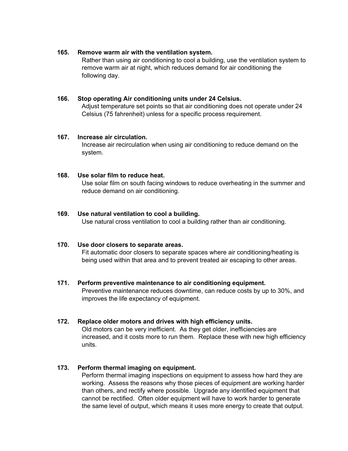#### **165. Remove warm air with the ventilation system.**

Rather than using air conditioning to cool a building, use the ventilation system to remove warm air at night, which reduces demand for air conditioning the following day.

# **166. Stop operating Air conditioning units under 24 Celsius.**

Adjust temperature set points so that air conditioning does not operate under 24 Celsius (75 fahrenheit) unless for a specific process requirement.

# **167. Increase air circulation.**

Increase air recirculation when using air conditioning to reduce demand on the system.

# **168. Use solar film to reduce heat.**

Use solar film on south facing windows to reduce overheating in the summer and reduce demand on air conditioning.

# **169. Use natural ventilation to cool a building.**

Use natural cross ventilation to cool a building rather than air conditioning.

# **170. Use door closers to separate areas.**

Fit automatic door closers to separate spaces where air conditioning/heating is being used within that area and to prevent treated air escaping to other areas.

# **171. Perform preventive maintenance to air conditioning equipment.**

Preventive maintenance reduces downtime, can reduce costs by up to 30%, and improves the life expectancy of equipment.

# **172. Replace older motors and drives with high efficiency units.**

Old motors can be very inefficient. As they get older, inefficiencies are increased, and it costs more to run them. Replace these with new high efficiency units.

# **173. Perform thermal imaging on equipment.**

Perform thermal imaging inspections on equipment to assess how hard they are working. Assess the reasons why those pieces of equipment are working harder than others, and rectify where possible. Upgrade any identified equipment that cannot be rectified. Often older equipment will have to work harder to generate the same level of output, which means it uses more energy to create that output.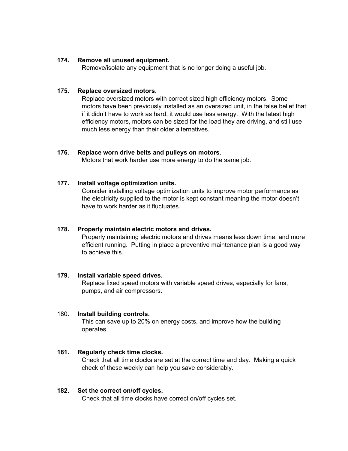#### **174. Remove all unused equipment.**

Remove/isolate any equipment that is no longer doing a useful job.

# **175. Replace oversized motors.**

Replace oversized motors with correct sized high efficiency motors. Some motors have been previously installed as an oversized unit, in the false belief that if it didn't have to work as hard, it would use less energy. With the latest high efficiency motors, motors can be sized for the load they are driving, and still use much less energy than their older alternatives.

#### **176. Replace worn drive belts and pulleys on motors.**

Motors that work harder use more energy to do the same job.

#### **177. Install voltage optimization units.**

Consider installing voltage optimization units to improve motor performance as the electricity supplied to the motor is kept constant meaning the motor doesn't have to work harder as it fluctuates.

#### **178. Properly maintain electric motors and drives.**

Properly maintaining electric motors and drives means less down time, and more efficient running. Putting in place a preventive maintenance plan is a good way to achieve this.

#### **179. Install variable speed drives.**

Replace fixed speed motors with variable speed drives, especially for fans, pumps, and air compressors.

#### 180. **Install building controls.**

This can save up to 20% on energy costs, and improve how the building operates.

# **181. Regularly check time clocks.**

Check that all time clocks are set at the correct time and day. Making a quick check of these weekly can help you save considerably.

#### **182. Set the correct on/off cycles.**

Check that all time clocks have correct on/off cycles set.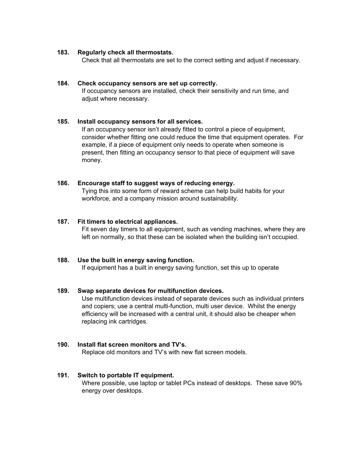# **183. Regularly check all thermostats.**

Check that all thermostats are set to the correct setting and adjust if necessary.

#### **184. Check occupancy sensors are set up correctly.**

If occupancy sensors are installed, check their sensitivity and run time, and adjust where necessary.

#### **185. Install occupancy sensors for all services.**

If an occupancy sensor isn't already fitted to control a piece of equipment, consider whether fitting one could reduce the time that equipment operates. For example, if a piece of equipment only needs to operate when someone is present, then fitting an occupancy sensor to that piece of equipment will save money.

#### **186. Encourage staff to suggest ways of reducing energy.**

Tying this into some form of reward scheme can help build habits for your workforce, and a company mission around sustainability.

#### **187. Fit timers to electrical appliances.**

Fit seven day timers to all equipment, such as vending machines, where they are left on normally, so that these can be isolated when the building isn't occupied.

# **188. Use the built in energy saving function.**

If equipment has a built in energy saving function, set this up to operate

#### **189. Swap separate devices for multifunction devices.**

Use multifunction devices instead of separate devices such as individual printers and copiers; use a central multi-function, multi user device. Whilst the energy efficiency will be increased with a central unit, it should also be cheaper when replacing ink cartridges.

# **190. Install flat screen monitors and TV's.**

Replace old monitors and TV's with new flat screen models.

#### **191. Switch to portable IT equipment.**

Where possible, use laptop or tablet PCs instead of desktops. These save 90% energy over desktops.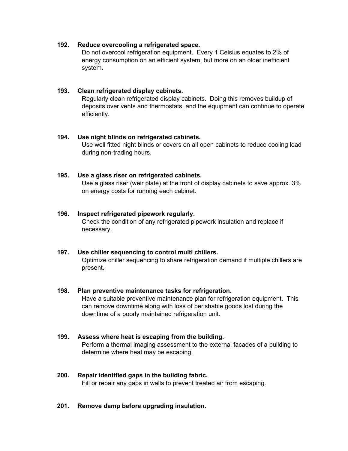# **192. Reduce overcooling a refrigerated space.**

Do not overcool refrigeration equipment. Every 1 Celsius equates to 2% of energy consumption on an efficient system, but more on an older inefficient system.

# **193. Clean refrigerated display cabinets.**

Regularly clean refrigerated display cabinets. Doing this removes buildup of deposits over vents and thermostats, and the equipment can continue to operate efficiently.

# **194. Use night blinds on refrigerated cabinets.**

Use well fitted night blinds or covers on all open cabinets to reduce cooling load during non-trading hours.

# **195. Use a glass riser on refrigerated cabinets.**

Use a glass riser (weir plate) at the front of display cabinets to save approx. 3% on energy costs for running each cabinet.

# **196. Inspect refrigerated pipework regularly.**

Check the condition of any refrigerated pipework insulation and replace if necessary.

# **197. Use chiller sequencing to control multi chillers.**

Optimize chiller sequencing to share refrigeration demand if multiple chillers are present.

# **198. Plan preventive maintenance tasks for refrigeration.**

Have a suitable preventive maintenance plan for refrigeration equipment. This can remove downtime along with loss of perishable goods lost during the downtime of a poorly maintained refrigeration unit.

# **199. Assess where heat is escaping from the building.**

Perform a thermal imaging assessment to the external facades of a building to determine where heat may be escaping.

# **200. Repair identified gaps in the building fabric.**

Fill or repair any gaps in walls to prevent treated air from escaping.

# **201. Remove damp before upgrading insulation.**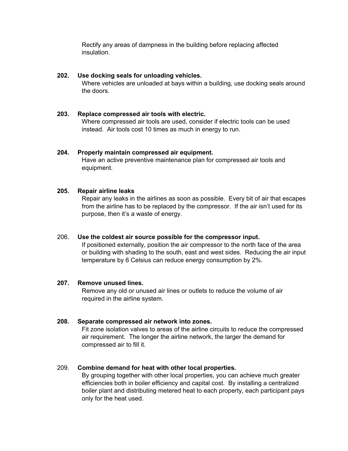Rectify any areas of dampness in the building before replacing affected insulation.

# **202. Use docking seals for unloading vehicles.**

Where vehicles are unloaded at bays within a building, use docking seals around the doors.

# **203. Replace compressed air tools with electric.**

Where compressed air tools are used, consider if electric tools can be used instead. Air tools cost 10 times as much in energy to run.

#### **204. Properly maintain compressed air equipment.**

Have an active preventive maintenance plan for compressed air tools and equipment.

#### **205. Repair airline leaks**

Repair any leaks in the airlines as soon as possible. Every bit of air that escapes from the airline has to be replaced by the compressor. If the air isn't used for its purpose, then it's a waste of energy.

#### 206. **Use the coldest air source possible for the compressor input.**

If positioned externally, position the air compressor to the north face of the area or building with shading to the south, east and west sides. Reducing the air input temperature by 6 Celsius can reduce energy consumption by 2%.

#### **207. Remove unused lines.**

Remove any old or unused air lines or outlets to reduce the volume of air required in the airline system.

# **208. Separate compressed air network into zones.**

Fit zone isolation valves to areas of the airline circuits to reduce the compressed air requirement. The longer the airline network, the larger the demand for compressed air to fill it.

# 209. **Combine demand for heat with other local properties.**

By grouping together with other local properties, you can achieve much greater efficiencies both in boiler efficiency and capital cost. By installing a centralized boiler plant and distributing metered heat to each property, each participant pays only for the heat used.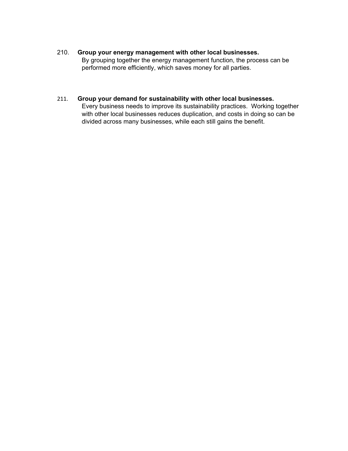# 210. **Group your energy management with other local businesses.**

By grouping together the energy management function, the process can be performed more efficiently, which saves money for all parties.

# 211. **Group your demand for sustainability with other local businesses.**

Every business needs to improve its sustainability practices. Working together with other local businesses reduces duplication, and costs in doing so can be divided across many businesses, while each still gains the benefit.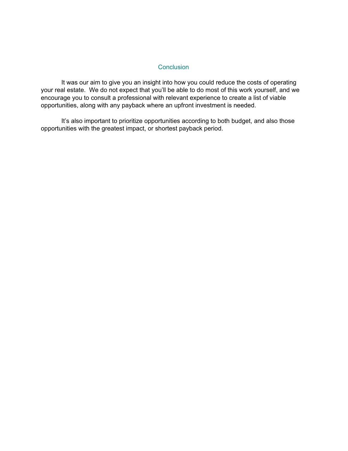# **Conclusion**

<span id="page-39-0"></span>It was our aim to give you an insight into how you could reduce the costs of operating your real estate. We do not expect that you'll be able to do most of this work yourself, and we encourage you to consult a professional with relevant experience to create a list of viable opportunities, along with any payback where an upfront investment is needed.

<span id="page-39-1"></span>It's also important to prioritize opportunities according to both budget, and also those opportunities with the greatest impact, or shortest payback period.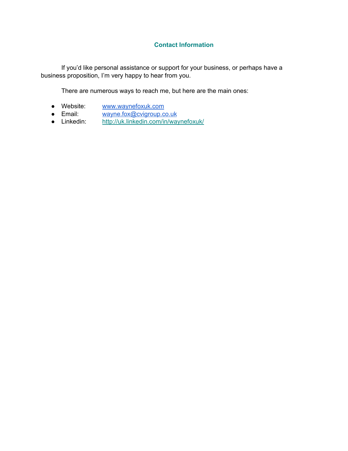# **Contact Information**

If you'd like personal assistance or support for your business, or perhaps have a business proposition, I'm very happy to hear from you.

There are numerous ways to reach me, but here are the main ones:

- Website: [www.waynefoxuk.com](http://www.waynefoxuk.com/)
- Email: [wayne.fox@cvigroup.co.uk](mailto:wayne.fox@cvigroup.co.uk)<br>● Linkedin: http://uk.linkedin.com/in/way
- <span id="page-40-0"></span><http://uk.linkedin.com/in/waynefoxuk/>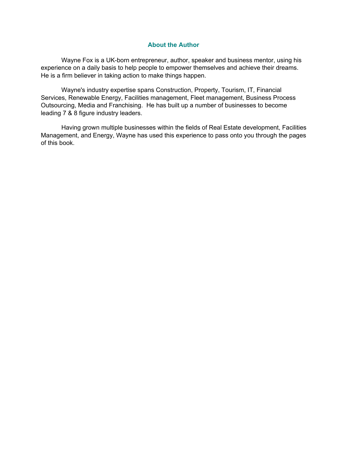#### **About the Author**

Wayne Fox is a UK-born entrepreneur, author, speaker and business mentor, using his experience on a daily basis to help people to empower themselves and achieve their dreams. He is a firm believer in taking action to make things happen.

Wayne's industry expertise spans Construction, Property, Tourism, IT, Financial Services, Renewable Energy, Facilities management, Fleet management, Business Process Outsourcing, Media and Franchising. He has built up a number of businesses to become leading 7 & 8 figure industry leaders.

<span id="page-41-0"></span>Having grown multiple businesses within the fields of Real Estate development, Facilities Management, and Energy, Wayne has used this experience to pass onto you through the pages of this book.